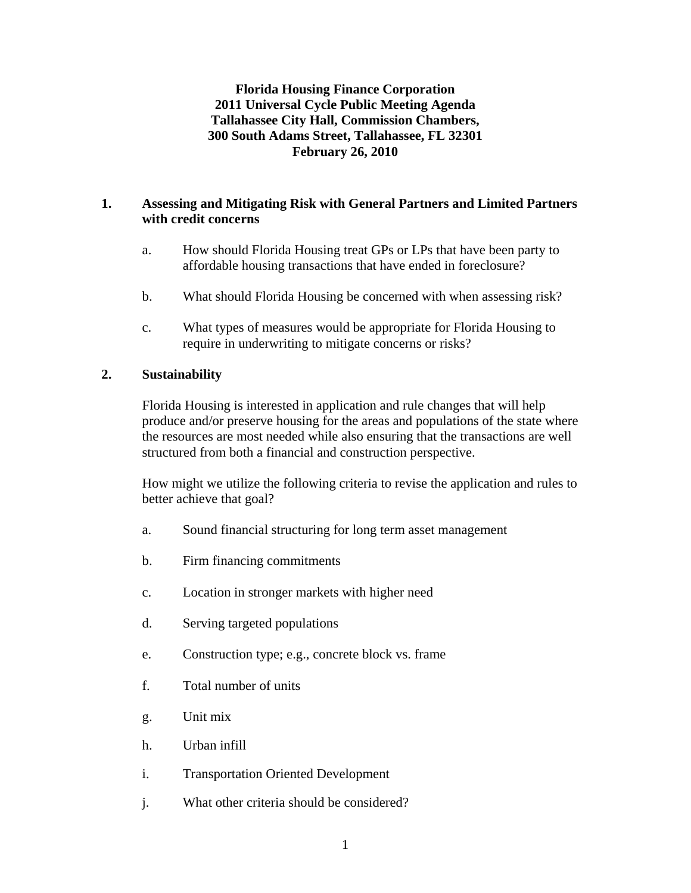**Florida Housing Finance Corporation 2011 Universal Cycle Public Meeting Agenda Tallahassee City Hall, Commission Chambers, 300 South Adams Street, Tallahassee, FL 32301 February 26, 2010** 

### **1. Assessing and Mitigating Risk with General Partners and Limited Partners with credit concerns**

- a. How should Florida Housing treat GPs or LPs that have been party to affordable housing transactions that have ended in foreclosure?
- b. What should Florida Housing be concerned with when assessing risk?
- c. What types of measures would be appropriate for Florida Housing to require in underwriting to mitigate concerns or risks?

### **2. Sustainability**

 Florida Housing is interested in application and rule changes that will help produce and/or preserve housing for the areas and populations of the state where the resources are most needed while also ensuring that the transactions are well structured from both a financial and construction perspective.

How might we utilize the following criteria to revise the application and rules to better achieve that goal?

- a. Sound financial structuring for long term asset management
- b. Firm financing commitments
- c. Location in stronger markets with higher need
- d. Serving targeted populations
- e. Construction type; e.g., concrete block vs. frame
- f. Total number of units
- g. Unit mix
- h. Urban infill
- i. Transportation Oriented Development
- j. What other criteria should be considered?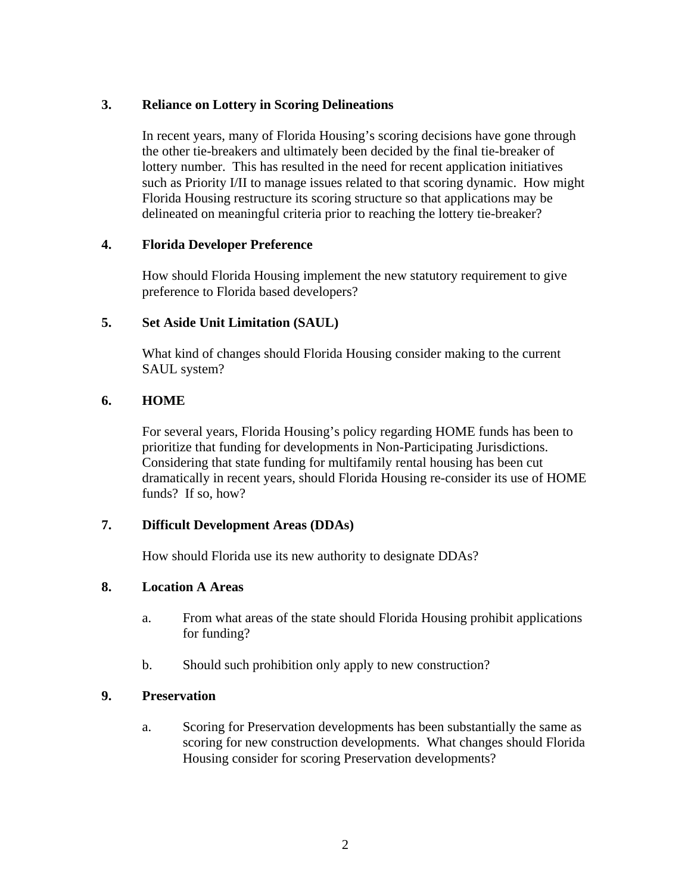### **3. Reliance on Lottery in Scoring Delineations**

 In recent years, many of Florida Housing's scoring decisions have gone through the other tie-breakers and ultimately been decided by the final tie-breaker of lottery number. This has resulted in the need for recent application initiatives such as Priority I/II to manage issues related to that scoring dynamic. How might Florida Housing restructure its scoring structure so that applications may be delineated on meaningful criteria prior to reaching the lottery tie-breaker?

### **4. Florida Developer Preference**

How should Florida Housing implement the new statutory requirement to give preference to Florida based developers?

### **5. Set Aside Unit Limitation (SAUL)**

What kind of changes should Florida Housing consider making to the current SAUL system?

### **6. HOME**

For several years, Florida Housing's policy regarding HOME funds has been to prioritize that funding for developments in Non-Participating Jurisdictions. Considering that state funding for multifamily rental housing has been cut dramatically in recent years, should Florida Housing re-consider its use of HOME funds? If so, how?

# **7. Difficult Development Areas (DDAs)**

How should Florida use its new authority to designate DDAs?

# **8. Location A Areas**

- a. From what areas of the state should Florida Housing prohibit applications for funding?
- b. Should such prohibition only apply to new construction?

### **9. Preservation**

 a. Scoring for Preservation developments has been substantially the same as scoring for new construction developments. What changes should Florida Housing consider for scoring Preservation developments?